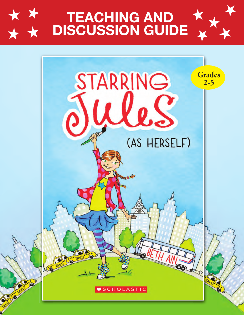

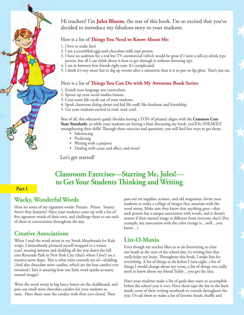

Hi teachers! I'm **Jules Bloom**, the star of this book. I'm so excited that you've decided to introduce my fabulous story to your students.

H

H

H

 $\overrightarrow{ }$ 

H

H

H

H

#### Here is a list of **Things You Need to Know About Me**:

- 1. I love to make lists!
- 2. I am a scrambled-eggs-and-chocolate-milk type person.
- 3. I have an audition for a real live TV commercial (which would be great if I were a tall-icy-drink type person, but all I can think about is how to get through it without throwing up).
- 4. I am in between best friends right now. It's complicated.
- 5. I think it's way more fun to dig up worms after a rainstorm than it is to put on lip-gloss. That's just me.

#### Here is a list of **Things You Can Do with My Awesome Book Series**:

- 1. Enrich your language arts curriculum.
- 2. Spruce up your social studies lessons.
- 3. Coax some fab vocab out of your students.
- 4. Spark classroom dialog about real-kid life stuff, like kindness and friendship.
- 5. Get your students excited to read, read, read.

Best of all, this educator's guide (besides having a TON of pizzazz) aligns with the **Common Core State Standards**, so while your students are having a blast discussing my book, you'll be SNEAKILY strengthening their skills! Through these exercises and questions, you will find fun ways to get them:

- Inferencing
- Predicting
- Writing with a purpose
- Dealing with cause and effect, and more!

Let's get started!

# **Classroom Exercises—Starring Me, Jules!** to Get Your Students Thinking and Writing

#### **Part I**

## **Wacky, Wonderful Words**

Here are some of my signature words: Pizzazz. Primo. Snazzy. Aren't they fantastic? Have your students come up with a list of five signature words of their own, and challenge them to use each of them in conversation throughout the day.

## **Creative Associations**

When I read the word *minty* in my Swish Mouthwash for Kids script, I immediately pictured myself wrapped in a winter scarf, wearing mittens and sledding all the way down the hill into Riverside Park in New York City (that's where I live!) on a massive snow slope. This is what mint reminds me of-sledding. (And also chocolate mint candies, which are the best candies ever invented.) Isn't it amazing how one little word sparks so many mental images?

Write the word *minty* in big fancy letters on the chalkboard, and pass out small mint chocolate candies for your students to taste. Have them taste the candies with their eyes closed. Then

pass out art supplies, scissors, and old magazines. Invite your students to make a collage of images they associate with the word *minty*. Make sure they know that anything goes—that each person has a unique association with words, and it doesn't matter if their mental image is different from everyone else's! (For example, my association with the color orange is…well…you know…)

## **List-O-Mania**

Even though my teacher likes us to do freewriting to clear our heads at the start of the school day, it's writing lists that really helps my brain. Throughout this book, I make lists for everything. A list of things to do before I turn eight, a list of things I would change about my room, a list of things you really need to know about my friend Teddy…you get the idea.

Have your students make a list of goals they want to accomplish before the school year is over. Have them tape the list to the back inside cover of their writing notebook to consult throughout the year. Or ask them to make a list of favorite foods; shuffle and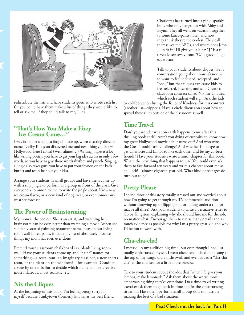

redistribute the lists and have students guess who wrote each list. Or you could have them make a list of things they would like to tell or ask me, if they could talk to me, Jules!

#### **"That's How You Make a Fizzy Ice-Cream Cone…"**

I was in a diner singing a jingle I made up, when a casting director named Colby Kingston discovered me, and next thing you know— Hollywood, here I come! (Well, almost…) Writing jingles is a lot like writing poetry: you have to get your big idea across in only a few words, so you have to give those words rhythm and punch. Singing a jingle also takes guts: you have to put your shyness on the back burner and really belt out your idea.

Arrange your students in small groups and have them come up with a silly jingle to perform as a group in front of the class. Give everyone a common theme to write the jingle about, like a new ice cream flavor, or a new kind of dog treat, or even tomorrow's weather forecast.

## **The Power of Brainstorming**

My mom is the coolest. She is an artist, and watching her brainstorm can be even better than watching a movie. When she suddenly started painting restaurant name ideas on our living room wall in red paint, it made my list of absolutely favorite things my mom has ever, ever done!

Pretend your classroom chalkboard is a blank living room wall. Have your students come up and "paint" names for something—a restaurant, an imaginary class pet, a new sports team, or the plant on the windowsill, for example. Conduct a vote by secret ballot to decide which name is most creative, most hilarious, most realistic, etc.

## **Nix the Cliques**

H

H

 $\blacktriangle$ 

 $\biggarrow$ 

H

At the beginning of this book, I'm feeling pretty sorry for myself because Stinkytown (formerly known as my best friend Charlotte) has turned into a pink, sparkly bully who only hangs out with Abby and Brynn. They all went on vacation together to some fancy-pants hotel, and now they think they're the coolest. They call themselves the ABCs, and where does J-for-Jules fit in? I'll give you a hint: "J" is a full seven letters away from "C." I guess I'll go eat worms.

Talk to your students about cliques. Get a conversation going about how it's normal to want to feel included, accepted, and "cool," but that cliques can cause kids to feel rejected, insecure, and sad. Create a classroom contract called Nix the Cliques, which each student will sign. Ask the kids

to collaborate on listing the Rules of Kindness for this contract (another list—yippee!). Have a circle discussion about how to spread these rules outside of the classroom as well.

#### **Time Travel**

Don't you wonder what on earth happens to me after this thrilling book ends? Aren't you dying of curiosity to know how my great Hollywood movie debut turns out? And who wins the Great Toothbrush Challenge? And whether I manage to get Charlotte and Elinor to like each other and be my co-best friends? Have your students write a ninth chapter for this book. What's the next thing that happens to *moi*? You could even ask them to fast-forward ten years and write a chapter about me as an—eek!—almost-eighteen-year-old. What kind of teenager do I turn out to be?

## **Pretty Please**

I spend most of this story totally stressed out and worried about how I'm going to get through my TV commercial audition without throwing up or flipping out or hiding under a rug (or maybe all three). Ask your students to write a persuasive letter to Colby Kingston, explaining why she should hire me for the job, no matter what. Encourage them to use as many details and as much evidence as possible for why I'm a pretty great kid and why I'd be fun to work with.

## **Cha-cha-cha!**

I messed up my audition big-time. But even though I had just totally embarrassed myself, I went ahead and belted out a song at the top of my lungs, did a little twirl, and even added a "cha-chacha" at the end just for a little more pizzazz.

Talk to your students about the idea that "when life gives you lemons, make lemonade." Ask them about the worst, most embarrassing thing they've ever done. Do a time-travel writing exercise: ask them to go back in time and fix the embarrassing situation. Have them perform small-group skits to illustrate making the best of a bad situation.